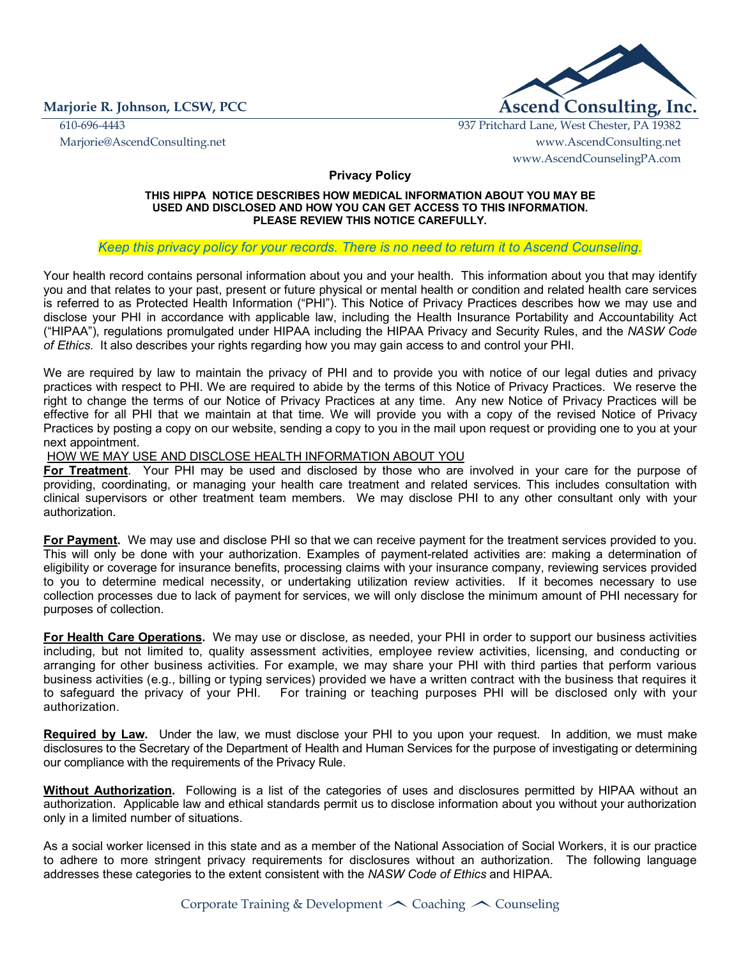

610-696-4443 937 Pritchard Lane, West Chester, PA 19382 Marjorie@AscendConsulting.net www.AscendConsulting.net www.AscendCounselingPA.com

**Privacy Policy** 

### **THIS HIPPA NOTICE DESCRIBES HOW MEDICAL INFORMATION ABOUT YOU MAY BE USED AND DISCLOSED AND HOW YOU CAN GET ACCESS TO THIS INFORMATION. PLEASE REVIEW THIS NOTICE CAREFULLY.**

### *Keep this privacy policy for your records. There is no need to return it to Ascend Counseling.*

Your health record contains personal information about you and your health. This information about you that may identify you and that relates to your past, present or future physical or mental health or condition and related health care services is referred to as Protected Health Information ("PHI"). This Notice of Privacy Practices describes how we may use and disclose your PHI in accordance with applicable law, including the Health Insurance Portability and Accountability Act ("HIPAA"), regulations promulgated under HIPAA including the HIPAA Privacy and Security Rules, and the *NASW Code of Ethics*. It also describes your rights regarding how you may gain access to and control your PHI.

We are required by law to maintain the privacy of PHI and to provide you with notice of our legal duties and privacy practices with respect to PHI. We are required to abide by the terms of this Notice of Privacy Practices. We reserve the right to change the terms of our Notice of Privacy Practices at any time. Any new Notice of Privacy Practices will be effective for all PHI that we maintain at that time. We will provide you with a copy of the revised Notice of Privacy Practices by posting a copy on our website, sending a copy to you in the mail upon request or providing one to you at your next appointment.

### HOW WE MAY USE AND DISCLOSE HEALTH INFORMATION ABOUT YOU

**For Treatment**.Your PHI may be used and disclosed by those who are involved in your care for the purpose of providing, coordinating, or managing your health care treatment and related services. This includes consultation with clinical supervisors or other treatment team members. We may disclose PHI to any other consultant only with your authorization.

**For Payment.** We may use and disclose PHI so that we can receive payment for the treatment services provided to you. This will only be done with your authorization. Examples of payment-related activities are: making a determination of eligibility or coverage for insurance benefits, processing claims with your insurance company, reviewing services provided to you to determine medical necessity, or undertaking utilization review activities. If it becomes necessary to use collection processes due to lack of payment for services, we will only disclose the minimum amount of PHI necessary for purposes of collection.

**For Health Care Operations.** We may use or disclose, as needed, your PHI in order to support our business activities including, but not limited to, quality assessment activities, employee review activities, licensing, and conducting or arranging for other business activities. For example, we may share your PHI with third parties that perform various business activities (e.g., billing or typing services) provided we have a written contract with the business that requires it to safeguard the privacy of your PHI. For training or teaching purposes PHI will be disclosed only with your authorization.

**Required by Law.** Under the law, we must disclose your PHI to you upon your request. In addition, we must make disclosures to the Secretary of the Department of Health and Human Services for the purpose of investigating or determining our compliance with the requirements of the Privacy Rule.

**Without Authorization.** Following is a list of the categories of uses and disclosures permitted by HIPAA without an authorization. Applicable law and ethical standards permit us to disclose information about you without your authorization only in a limited number of situations.

As a social worker licensed in this state and as a member of the National Association of Social Workers, it is our practice to adhere to more stringent privacy requirements for disclosures without an authorization.The following language addresses these categories to the extent consistent with the *NASW Code of Ethics* and HIPAA.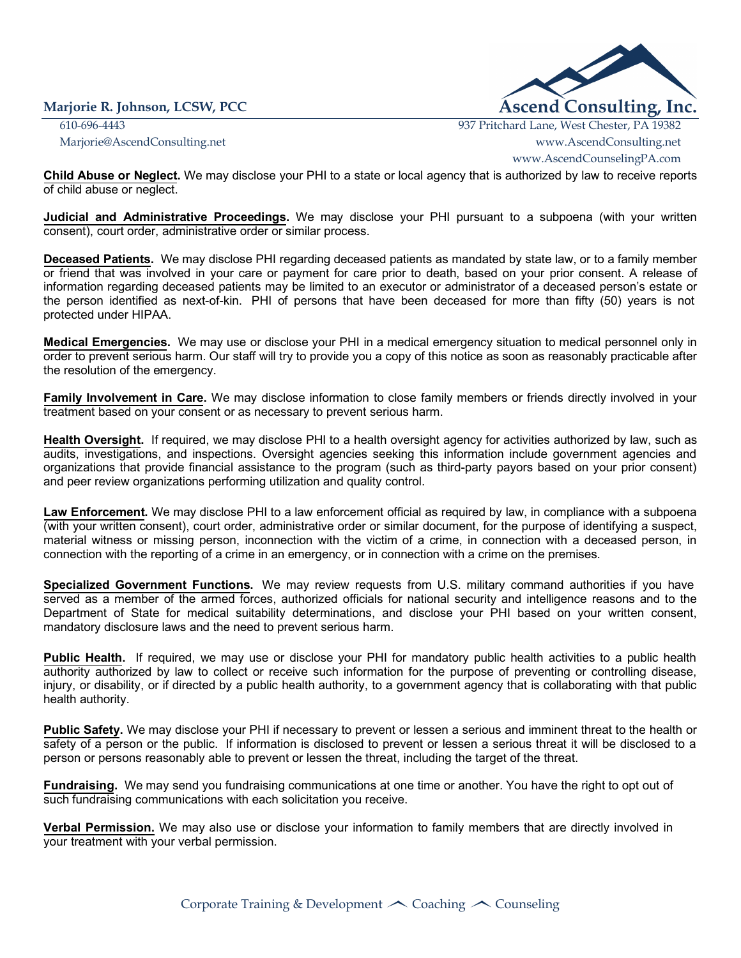

610-696-4443 937 Pritchard Lane, West Chester, PA 19382 Marjorie@AscendConsulting.net www.AscendConsulting.net www.AscendCounselingPA.com

**Child Abuse or Neglect.** We may disclose your PHI to a state or local agency that is authorized by law to receive reports of child abuse or neglect.

**Judicial and Administrative Proceedings.** We may disclose your PHI pursuant to a subpoena (with your written consent), court order, administrative order or similar process.

**Deceased Patients.** We may disclose PHI regarding deceased patients as mandated by state law, or to a family member or friend that was involved in your care or payment for care prior to death, based on your prior consent. A release of information regarding deceased patients may be limited to an executor or administrator of a deceased person's estate or the person identified as next-of-kin. PHI of persons that have been deceased for more than fifty (50) years is not protected under HIPAA.

**Medical Emergencies.** We may use or disclose your PHI in a medical emergency situation to medical personnel only in order to prevent serious harm. Our staff will try to provide you a copy of this notice as soon as reasonably practicable after the resolution of the emergency.

**Family Involvement in Care.** We may disclose information to close family members or friends directly involved in your treatment based on your consent or as necessary to prevent serious harm.

**Health Oversight.** If required, we may disclose PHI to a health oversight agency for activities authorized by law, such as audits, investigations, and inspections. Oversight agencies seeking this information include government agencies and organizations that provide financial assistance to the program (such as third-party payors based on your prior consent) and peer review organizations performing utilization and quality control.

**Law Enforcement.** We may disclose PHI to a law enforcement official as required by law, in compliance with a subpoena (with your written consent), court order, administrative order or similar document, for the purpose of identifying a suspect, material witness or missing person, inconnection with the victim of a crime, in connection with a deceased person, in connection with the reporting of a crime in an emergency, or in connection with a crime on the premises.

**Specialized Government Functions.** We may review requests from U.S. military command authorities if you have served as a member of the armed forces, authorized officials for national security and intelligence reasons and to the Department of State for medical suitability determinations, and disclose your PHI based on your written consent, mandatory disclosure laws and the need to prevent serious harm.

**Public Health.** If required, we may use or disclose your PHI for mandatory public health activities to a public health authority authorized by law to collect or receive such information for the purpose of preventing or controlling disease, injury, or disability, or if directed by a public health authority, to a government agency that is collaborating with that public health authority.

**Public Safety.** We may disclose your PHI if necessary to prevent or lessen a serious and imminent threat to the health or safety of a person or the public. If information is disclosed to prevent or lessen a serious threat it will be disclosed to a person or persons reasonably able to prevent or lessen the threat, including the target of the threat.

**Fundraising.** We may send you fundraising communications at one time or another. You have the right to opt out of such fundraising communications with each solicitation you receive.

**Verbal Permission.** We may also use or disclose your information to family members that are directly involved in your treatment with your verbal permission.